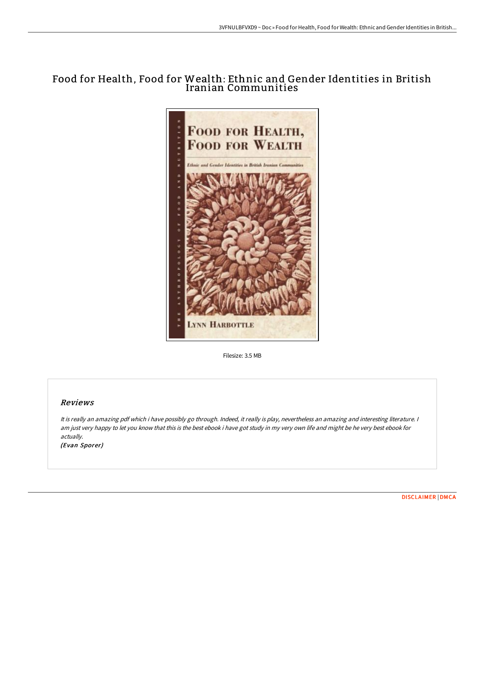# Food for Health, Food for Wealth: Ethnic and Gender Identities in British Iranian Communities



Filesize: 3.5 MB

# Reviews

It is really an amazing pdf which i have possibly go through. Indeed, it really is play, nevertheless an amazing and interesting literature. <sup>I</sup> am just very happy to let you know that this is the best ebook i have got study in my very own life and might be he very best ebook for actually.

(Evan Sporer)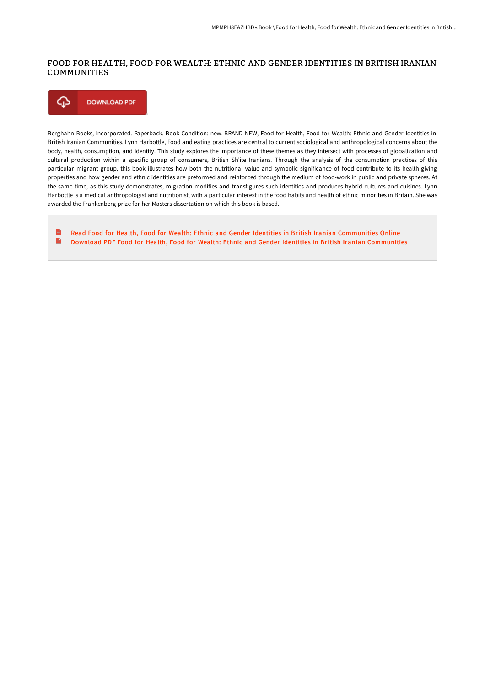# FOOD FOR HEALTH, FOOD FOR WEALTH: ETHNIC AND GENDER IDENTITIES IN BRITISH IRANIAN COMMUNITIES

⊕ **DOWNLOAD PDF** 

Berghahn Books, Incorporated. Paperback. Book Condition: new. BRAND NEW, Food for Health, Food for Wealth: Ethnic and Gender Identities in British Iranian Communities, Lynn Harbottle, Food and eating practices are central to current sociological and anthropological concerns about the body, health, consumption, and identity. This study explores the importance of these themes as they intersect with processes of globalization and cultural production within a specific group of consumers, British Sh'ite Iranians. Through the analysis of the consumption practices of this particular migrant group, this book illustrates how both the nutritional value and symbolic significance of food contribute to its health-giving properties and how gender and ethnic identities are preformed and reinforced through the medium of food-work in public and private spheres. At the same time, as this study demonstrates, migration modifies and transfigures such identities and produces hybrid cultures and cuisines. Lynn Harbottle is a medical anthropologist and nutritionist, with a particular interest in the food habits and health of ethnic minorities in Britain. She was awarded the Frankenberg prize for her Masters dissertation on which this book is based.

 $\mathbf{r}$ Read Food for Health, Food for Wealth: Ethnic and Gender Identities in British Iranian [Communities](http://www.bookdirs.com/food-for-health-food-for-wealth-ethnic-and-gende.html) Online B Download PDF Food for Health, Food for Wealth: Ethnic and Gender Identities in British Iranian [Communities](http://www.bookdirs.com/food-for-health-food-for-wealth-ethnic-and-gende.html)